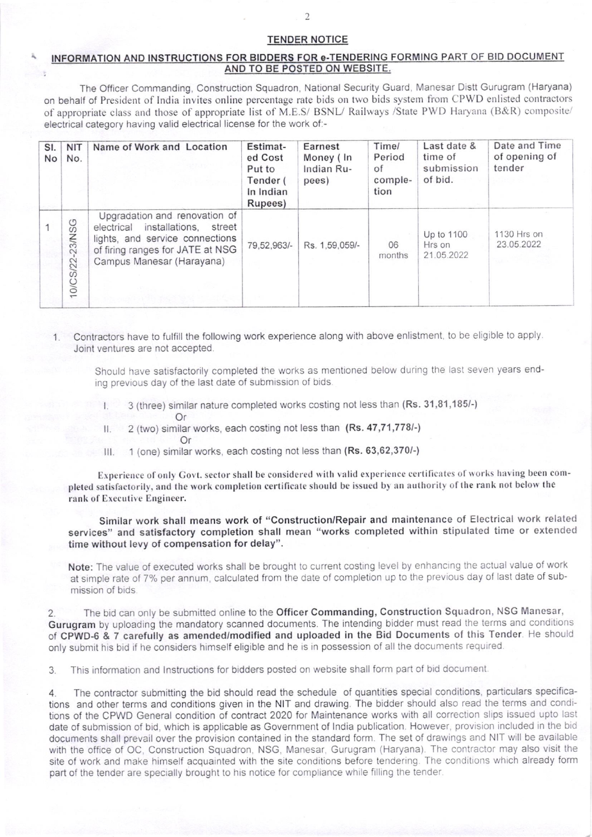## TENOER NOTICE

## INFORMATION AND INSTRUCTIONS FOR BIDDERS FOR e-TENDERING FORMING PART OF BID DOCUMENT AND TO BE POSTED ON WEBSITE.

The Officer Commanding, Construction Squadron, National Security Guard, Manesar Distt Gurugram (Haryana) on behalf of President of India invites online percentage rate bids on two bids system from CPWD enlisted contractors of appropriate class and those of appropriate list of M.E.S/ BSNL/ Railways /State PWD Haryana (B&R) composite/ electrical category having valid electrical license for the work of:-

| SI.<br>No | <b>NIT</b><br>No.   | Name of Work and Location                                                                                                                                                | Estimat-<br>ed Cost<br>Put to<br>Tender (<br>In Indian<br>Rupees) | Earnest<br>Money (In<br>Indian Ru-<br>pees) | Time/<br>Period<br>of<br>comple-<br>tion | Last date &<br>time of<br>submission<br>of bid. | Date and Time<br>of opening of<br>tender |
|-----------|---------------------|--------------------------------------------------------------------------------------------------------------------------------------------------------------------------|-------------------------------------------------------------------|---------------------------------------------|------------------------------------------|-------------------------------------------------|------------------------------------------|
|           | -23/NSG<br>10/CS/22 | Upgradation and renovation of<br>installations, street<br>electrical<br>lights, and service connections<br>of firing ranges for JATE at NSG<br>Campus Manesar (Harayana) | 79.52,963/-                                                       | Rs. 1.59.059/-                              | 06<br>months                             | Up to 1100<br>Hrs on<br>21.05.2022              | 1130 Hrs on<br>23.05.2022                |

1. Contractors have to fulfill the following work experience along with above enlistment, to be eligible to apply. Joint ventures are not accepted.

Should have satisfactorily completed the works as mentioned below during the last seven years ending previous day of the last date of submission of bids.

- 3 (three) similar nature completed works costing not less than (Rs. 31,81,185/-)<br>Or
- II.  $2$  (two) similar works, each costing not less than (Rs. 47,71,778/-)
	-
- III. 1 (one) similar works, each costing not less than (Rs. 63,62,370/-)

Experience of only Govt. sector shall be considered with valid experience certificates of works having been completed satisfactorily, and the work completion certificate should be issued by an authority of the rank not below the rank of Executive Engineer.

Similar work shalt means work of "Construction/Repair and maintenance of Electrical work related services" and satisfactory completion shall mean "works completed within stipulated time or extended time without levy of compensation for delay".

Note: The value of executed works shall be brought to current costing level by enhancing the actual value of work at simple rate of 7% per annum, calculated from the date of completion up to the previous day of last date of submission of bids

2. The bid can only be submitted online to the Officer Commanding, Construction Squadron, NSG Manesar, Gurugram by uploading the mandatory scanned documents. The intending bidder must read the terms and conditions ot CPWD-6 & 7 carefully as amended/modified and uploaded in the Bid Oocuments of this Tender. He should only submit his bid if he considers himself eligible and he is in possession of all the documents required.

3. This information and Instructions for bidders posted on website shall form part of bid document.

4. The contractor submitting the bid should read the schedule of quantities special conditions, particulars specifications and other terms and conditions given in the NIT and drawing. The bidder should also read the terms and conditions of the CPWD General condition of contract 2020 for Maintenance works with all correction slips issued upto last date of submission of bid, which is applicable as Government of India publication. However, provision included in the bid documents shall prevail over the provision contained in the standard form. The set of drawings and NIT will be available with the office of OC, Construction Squadron, NSG, Manesar, Gurugram (Haryana). The contractor may also visit the site of work and make himself acquainted with the site conditions before tendering. The conditions which already form part of the tender are specially brought to his notice for compliance while filling the tender.